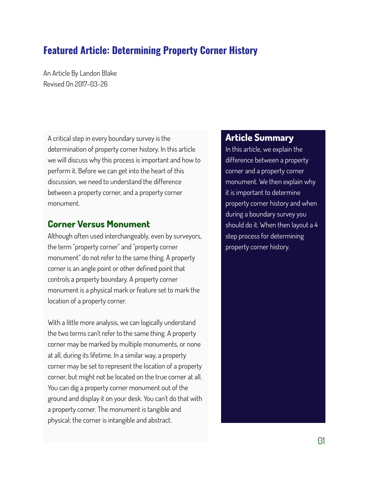# **Featured Article: Determining Property Corner History**

An Article By Landon Blake Revised On 2017-03-26

A critical step in every boundary survey is the determination of property corner history. In this article we will discuss why this process is important and how to perform it. Before we can get into the heart of this discussion, we need to understand the difference between a property corner, and a property corner monument.

## **Corner Versus Monument**

Although often used interchangeably, even by surveyors, the term "property corner" and "property corner monument" do not refer to the same thing. A property corner is an angle point or other defined point that controls a property boundary. A property corner monument is a physical mark or feature set to mark the location of a property corner.

With a little more analysis, we can logically understand the two terms can't refer to the same thing. A property corner may be marked by multiple monuments, or none at all, during its lifetime. In a similar way, a property corner may be set to represent the location of a property corner, but might not be located on the true corner at all. You can dig a property corner monument out of the ground and display it on your desk. You can't do that with a property corner. The monument is tangible and physical; the corner is intangible and abstract.

## **Article Summary**

In this article, we explain the difference between a property corner and a property corner monument. We then explain why it is important to determine property corner history and when during a boundary survey you should do it. When then layout a 4 step process for determining property corner history.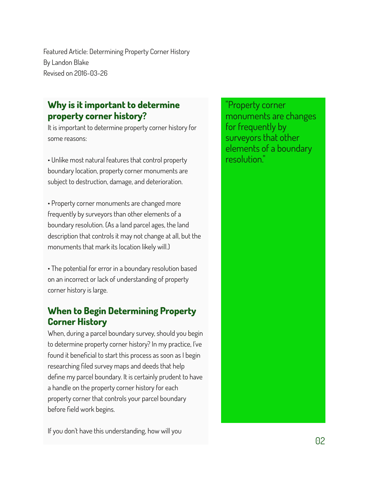# **Why is it important to determine property corner history?**

It is important to determine property corner history for some reasons:

• Unlike most natural features that control property boundary location, property corner monuments are subject to destruction, damage, and deterioration.

• Property corner monuments are changed more frequently by surveyors than other elements of a boundary resolution. (As a land parcel ages, the land description that controls it may not change at all, but the monuments that mark its location likely will.)

• The potential for error in a boundary resolution based on an incorrect or lack of understanding of property corner history is large.

# **When to Begin Determining Property Corner History**

When, during a parcel boundary survey, should you begin to determine property corner history? In my practice, I've found it beneficial to start this process as soon as I begin researching filed survey maps and deeds that help define my parcel boundary. It is certainly prudent to have a handle on the property corner history for each property corner that controls your parcel boundary before field work begins.

If you don't have this understanding, how will you

"Property corner monuments are changes for frequently by surveyors that other elements of a boundary resolution."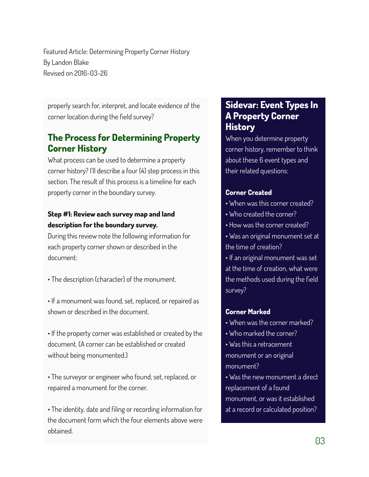properly search for, interpret, and locate evidence of the corner location during the field survey?

## **The Process for Determining Property Corner History**

What process can be used to determine a property corner history? I'll describe a four (4) step process in this section. The result of this process is a timeline for each property corner in the boundary survey.

### **Step #1: Review each survey map and land description for the boundary survey.**

During this review note the following information for each property corner shown or described in the document:

- The description (character) of the monument.
- If a monument was found, set, replaced, or repaired as shown or described in the document.

• If the property corner was established or created by the document. (A corner can be established or created without being monumented.)

• The surveyor or engineer who found, set, replaced, or repaired a monument for the corner.

• The identity, date and filing or recording information for the document form which the four elements above were obtained.

## **Sidevar: Event Types In A Property Corner History**

When you determine property corner history, remember to think about these 6 event types and their related questions:

#### **Corner Created**

- When was this corner created?
- Who created the corner?
- How was the corner created?
- Was an original monument set at the time of creation?

• If an original monument was set at the time of creation, what were the methods used during the field survey?

#### **Corner Marked**

- When was the corner marked?
- Who marked the corner?
- Was this a retracement monument or an original monument?
- Was the new monument a direct replacement of a found monument, or was it established at a record or calculated position?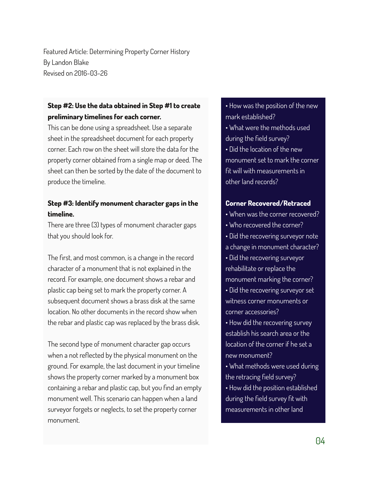### **Step #2: Use the data obtained in Step #1 to create preliminary timelines for each corner.**

This can be done using a spreadsheet. Use a separate sheet in the spreadsheet document for each property corner. Each row on the sheet will store the data for the property corner obtained from a single map or deed. The sheet can then be sorted by the date of the document to produce the timeline.

### **Step #3: Identify monument character gaps in the timeline.**

There are three (3) types of monument character gaps that you should look for.

The first, and most common, is a change in the record character of a monument that is not explained in the record. For example, one document shows a rebar and plastic cap being set to mark the property corner. A subsequent document shows a brass disk at the same location. No other documents in the record show when the rebar and plastic cap was replaced by the brass disk.

The second type of monument character gap occurs when a not reflected by the physical monument on the ground. For example, the last document in your timeline shows the property corner marked by a monument box containing a rebar and plastic cap, but you find an empty monument well. This scenario can happen when a land surveyor forgets or neglects, to set the property corner monument.

• How was the position of the new mark established? • What were the methods used during the field survey? • Did the location of the new monument set to mark the corner fit will with measurements in other land records?

#### **Corner Recovered/Retraced**

- When was the corner recovered?
- Who recovered the corner?
- Did the recovering surveyor note
- a change in monument character?
- Did the recovering surveyor rehabilitate or replace the monument marking the corner? • Did the recovering surveyor set witness corner monuments or corner accessories?
- How did the recovering survey establish his search area or the location of the corner if he set a new monument?
- What methods were used during the retracing field survey? • How did the position established during the field survey fit with measurements in other land